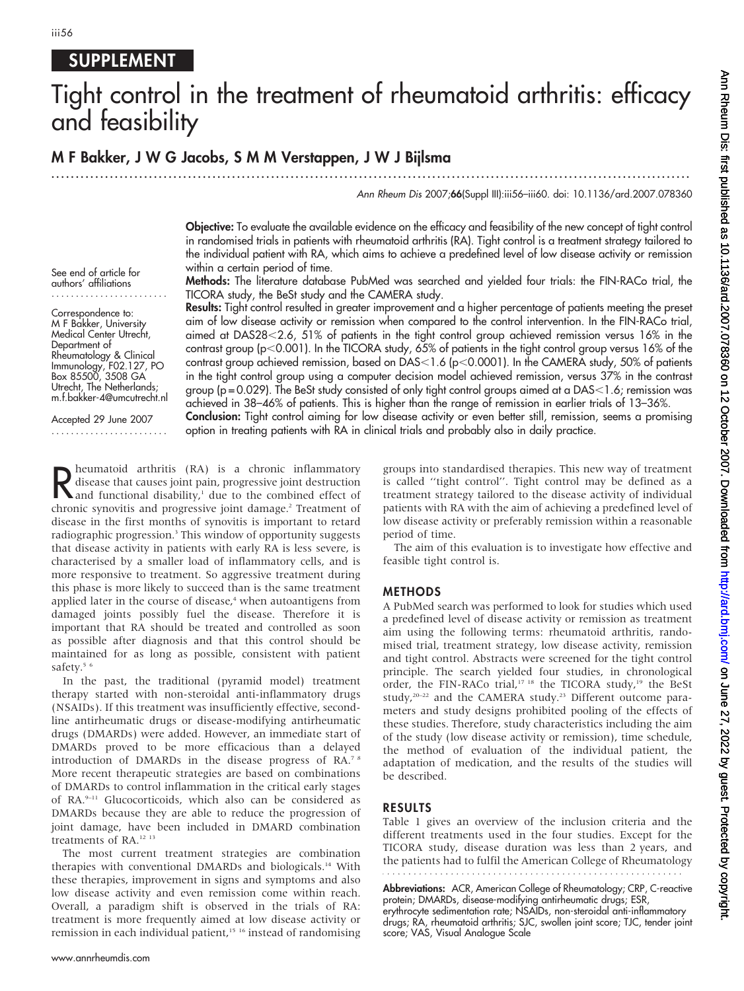### SUPPLEMENT

# Tight control in the treatment of rheumatoid arthritis: efficacy and feasibility

#### M F Bakker, J W G Jacobs, SMMVerstappen, J W J Bijlsma ...................................................................................................................................

Ann Rheum Dis 2007;66(Suppl III):iii56–iii60. doi: 10.1136/ard.2007.078360

Objective: To evaluate the available evidence on the efficacy and feasibility of the new concept of tight control in randomised trials in patients with rheumatoid arthritis (RA). Tight control is a treatment strategy tailored to the individual patient with RA, which aims to achieve a predefined level of low disease activity or remission within a certain period of time.

Methods: The literature database PubMed was searched and yielded four trials: the FIN-RACo trial, the TICORA study, the BeSt study and the CAMERA study.

Results: Tight control resulted in greater improvement and a higher percentage of patients meeting the preset aim of low disease activity or remission when compared to the control intervention. In the FIN-RACo trial, aimed at DAS28<2.6, 51% of patients in the tight control group achieved remission versus 16% in the contrast group ( $p$ <0.001). In the TICORA study, 65% of patients in the tight control group versus 16% of the contrast group achieved remission, based on DAS $<$ 1.6 (p $<$ 0.0001). In the CAMERA study, 50% of patients in the tight control group using a computer decision model achieved remission, versus 37% in the contrast group (p=0.029). The BeSt study consisted of only tight control groups aimed at a DAS<1.6; remission was achieved in 38–46% of patients. This is higher than the range of remission in earlier trials of 13–36%.

Conclusion: Tight control aiming for low disease activity or even better still, remission, seems a promising option in treating patients with RA in clinical trials and probably also in daily practice.

Reumatoid arthritis (KA) is a chronic inflammatory<br>disease that causes joint pain, progressive joint destruction<br>and functional disability,<sup>1</sup> due to the combined effect of<br>chronic emoutie and progressive joint damage<sup>2</sup> T heumatoid arthritis (RA) is a chronic inflammatory disease that causes joint pain, progressive joint destruction chronic synovitis and progressive joint damage.<sup>2</sup> Treatment of disease in the first months of synovitis is important to retard radiographic progression.<sup>3</sup> This window of opportunity suggests that disease activity in patients with early RA is less severe, is characterised by a smaller load of inflammatory cells, and is more responsive to treatment. So aggressive treatment during this phase is more likely to succeed than is the same treatment applied later in the course of disease, $4$  when autoantigens from damaged joints possibly fuel the disease. Therefore it is important that RA should be treated and controlled as soon as possible after diagnosis and that this control should be maintained for as long as possible, consistent with patient safety.<sup>56</sup>

In the past, the traditional (pyramid model) treatment therapy started with non-steroidal anti-inflammatory drugs (NSAIDs). If this treatment was insufficiently effective, secondline antirheumatic drugs or disease-modifying antirheumatic drugs (DMARDs) were added. However, an immediate start of DMARDs proved to be more efficacious than a delayed introduction of DMARDs in the disease progress of RA.7 8 More recent therapeutic strategies are based on combinations of DMARDs to control inflammation in the critical early stages of RA.<sup>9-11</sup> Glucocorticoids, which also can be considered as DMARDs because they are able to reduce the progression of joint damage, have been included in DMARD combination treatments of RA.12 13

The most current treatment strategies are combination therapies with conventional DMARDs and biologicals.14 With these therapies, improvement in signs and symptoms and also low disease activity and even remission come within reach. Overall, a paradigm shift is observed in the trials of RA: treatment is more frequently aimed at low disease activity or remission in each individual patient,<sup>15 16</sup> instead of randomising groups into standardised therapies. This new way of treatment is called ''tight control''. Tight control may be defined as a treatment strategy tailored to the disease activity of individual patients with RA with the aim of achieving a predefined level of low disease activity or preferably remission within a reasonable period of time.

The aim of this evaluation is to investigate how effective and feasible tight control is.

#### METHODS

A PubMed search was performed to look for studies which used a predefined level of disease activity or remission as treatment aim using the following terms: rheumatoid arthritis, randomised trial, treatment strategy, low disease activity, remission and tight control. Abstracts were screened for the tight control principle. The search yielded four studies, in chronological order, the FIN-RACo trial,<sup>17 18</sup> the TICORA study,<sup>19</sup> the BeSt study,<sup>20–22</sup> and the CAMERA study.<sup>23</sup> Different outcome parameters and study designs prohibited pooling of the effects of these studies. Therefore, study characteristics including the aim of the study (low disease activity or remission), time schedule, the method of evaluation of the individual patient, the adaptation of medication, and the results of the studies will be described.

#### RESULTS

Table 1 gives an overview of the inclusion criteria and the different treatments used in the four studies. Except for the TICORA study, disease duration was less than 2 years, and the patients had to fulfil the American College of Rheumatology 

Abbreviations: ACR, American College of Rheumatology; CRP, C-reactive protein; DMARDs, disease-modifying antirheumatic drugs; ESR,

erythrocyte sedimentation rate; NSAIDs, non-steroidal anti-inflammatory drugs; RA, rheumatoid arthritis; SJC, swollen joint score; TJC, tender joint score; VAS, Visual Analogue Scale

#### authors' affiliations ........................ Correspondence to: M F Bakker, University

See end of article for

Medical Center Utrecht, Department of Rheumatology & Clinical Immunology, F02.127, PO Box 85500, 3508 GA Utrecht, The Netherlands; m.f.bakker-4@umcutrecht.nl

Accepted 29 June 2007 ........................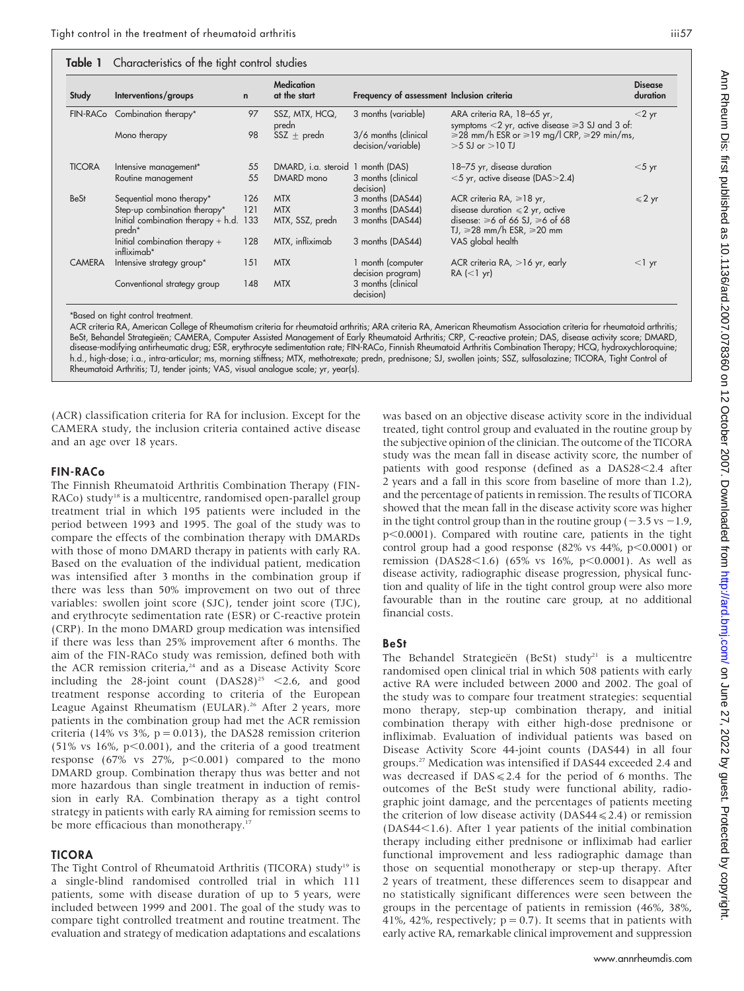| Study         | Interventions/groups                                           | $\mathbf n$ | <b>Medication</b><br>at the start | Frequency of assessment Inclusion criteria |                                                                                       | <b>Disease</b><br>duration |
|---------------|----------------------------------------------------------------|-------------|-----------------------------------|--------------------------------------------|---------------------------------------------------------------------------------------|----------------------------|
|               | FIN-RACo Combination therapy*                                  | 97          | SSZ, MTX, HCQ,<br>predn           | 3 months (variable)                        | ARA criteria RA, 18-65 yr,<br>symptoms $<$ 2 yr, active disease $\geq$ 3 SJ and 3 of: | $<$ 2 yr                   |
|               | Mono therapy                                                   | 98          | SSZ $\pm$ predn                   | 3/6 months (clinical<br>decision/variable) | $\geq$ 28 mm/h ESR or $\geq$ 19 mg/l CRP, $\geq$ 29 min/ms,<br>$>5$ SJ or $>10$ TJ    |                            |
| <b>TICORA</b> | Intensive management*                                          | 55          | DMARD, i.a. steroid 1 month (DAS) |                                            | 18-75 yr, disease duration                                                            | $<$ 5 yr                   |
|               | Routine management                                             | 55          | DMARD mono                        | 3 months (clinical<br>decision)            | <5 yr, active disease (DAS>2.4)                                                       |                            |
| <b>BeSt</b>   | Sequential mono therapy*                                       | 126         | <b>MTX</b>                        | 3 months (DAS44)                           | ACR criteria RA, $\geq 18$ yr,                                                        | $\leqslant$ 2 yr           |
|               | Step-up combination therapy*                                   | 121         | <b>MTX</b>                        | 3 months (DAS44)                           | disease duration $\leq 2$ yr, active                                                  |                            |
|               | Initial combination therapy $+$ h.d. 133<br>predn <sup>*</sup> |             | MTX, SSZ, predn                   | 3 months (DAS44)                           | disease: $\geq 6$ of 66 SJ, $\geq 6$ of 68<br>$IJ \geq 28$ mm/h ESR, $\geq 20$ mm     |                            |
|               | Initial combination therapy +<br>infliximab*                   | 128         | MTX, infliximab                   | 3 months (DAS44)                           | VAS global health                                                                     |                            |
| <b>CAMERA</b> | Intensive strategy group*                                      | 151         | <b>MTX</b>                        | 1 month (computer<br>decision program)     | ACR criteria RA, $>16$ yr, early<br>$RA$ (<1 yr)                                      | $<$ 1 yr                   |
|               | Conventional strategy group                                    | 148         | <b>MTX</b>                        | 3 months (clinical<br>decision)            |                                                                                       |                            |

\*Based on tight control treatment.

ACR criteria RA, American College of Rheumatism criteria for rheumatoid arthritis; ARA criteria RA, American Rheumatism Association criteria for rheumatoid arthritis; BeSt, Behandel Strategieën; CAMERA, Computer Assisted Management of Early Rheumatoid Arthritis; CRP, C-reactive protein; DAS, disease activity score; DMARD, disease-modifying antirheumatic drug; ESR, erythrocyte sedimentation rate; FIN-RACo, Finnish Rheumatoid Arthritis Combination Therapy; HCQ, hydroxychloroquine; h.d., high-dose; i.a., intra-articular; ms, morning stiffness; MTX, methotrexate; predn, prednisone; SJ, swollen joints; SSZ, sulfasalazine; TICORA, Tight Control of Rheumatoid Arthritis; TJ, tender joints; VAS, visual analogue scale; yr, year(s).

(ACR) classification criteria for RA for inclusion. Except for the CAMERA study, the inclusion criteria contained active disease and an age over 18 years.

#### FIN-RACo

The Finnish Rheumatoid Arthritis Combination Therapy (FIN-RACo) study<sup>18</sup> is a multicentre, randomised open-parallel group treatment trial in which 195 patients were included in the period between 1993 and 1995. The goal of the study was to compare the effects of the combination therapy with DMARDs with those of mono DMARD therapy in patients with early RA. Based on the evaluation of the individual patient, medication was intensified after 3 months in the combination group if there was less than 50% improvement on two out of three variables: swollen joint score (SJC), tender joint score (TJC), and erythrocyte sedimentation rate (ESR) or C-reactive protein (CRP). In the mono DMARD group medication was intensified if there was less than 25% improvement after 6 months. The aim of the FIN-RACo study was remission, defined both with the ACR remission criteria,<sup>24</sup> and as a Disease Activity Score including the 28-joint count  $(DAS28)^{25}$  <2.6, and good treatment response according to criteria of the European League Against Rheumatism (EULAR).<sup>26</sup> After 2 years, more patients in the combination group had met the ACR remission criteria (14% vs 3%,  $p = 0.013$ ), the DAS28 remission criterion  $(51\% \text{ vs } 16\%, \text{ p} < 0.001)$ , and the criteria of a good treatment response (67% vs  $27\%$ ,  $p<0.001$ ) compared to the mono DMARD group. Combination therapy thus was better and not more hazardous than single treatment in induction of remission in early RA. Combination therapy as a tight control strategy in patients with early RA aiming for remission seems to be more efficacious than monotherapy.<sup>17</sup>

#### TICORA

The Tight Control of Rheumatoid Arthritis (TICORA) study<sup>19</sup> is a single-blind randomised controlled trial in which 111 patients, some with disease duration of up to 5 years, were included between 1999 and 2001. The goal of the study was to compare tight controlled treatment and routine treatment. The evaluation and strategy of medication adaptations and escalations

was based on an objective disease activity score in the individual treated, tight control group and evaluated in the routine group by the subjective opinion of the clinician. The outcome of the TICORA study was the mean fall in disease activity score, the number of patients with good response (defined as a DAS28<2.4 after 2 years and a fall in this score from baseline of more than 1.2), and the percentage of patients in remission. The results of TICORA showed that the mean fall in the disease activity score was higher in the tight control group than in the routine group ( $-3.5$  vs  $-1.9$ ,  $p<0.0001$ ). Compared with routine care, patients in the tight control group had a good response (82% vs  $44\%$ , p $<0.0001$ ) or remission (DAS28<1.6) (65% vs 16%, p<0.0001). As well as disease activity, radiographic disease progression, physical function and quality of life in the tight control group were also more favourable than in the routine care group, at no additional financial costs.

#### BeSt

The Behandel Strategieën (BeSt) study<sup>21</sup> is a multicentre randomised open clinical trial in which 508 patients with early active RA were included between 2000 and 2002. The goal of the study was to compare four treatment strategies: sequential mono therapy, step-up combination therapy, and initial combination therapy with either high-dose prednisone or infliximab. Evaluation of individual patients was based on Disease Activity Score 44-joint counts (DAS44) in all four groups.27 Medication was intensified if DAS44 exceeded 2.4 and was decreased if  $DAS \le 2.4$  for the period of 6 months. The outcomes of the BeSt study were functional ability, radiographic joint damage, and the percentages of patients meeting the criterion of low disease activity (DAS44 $\leq$ 2.4) or remission  $(DAS44<1.6)$ . After 1 year patients of the initial combination therapy including either prednisone or infliximab had earlier functional improvement and less radiographic damage than those on sequential monotherapy or step-up therapy. After 2 years of treatment, these differences seem to disappear and no statistically significant differences were seen between the groups in the percentage of patients in remission (46%, 38%, 41%, 42%, respectively;  $p = 0.7$ ). It seems that in patients with early active RA, remarkable clinical improvement and suppression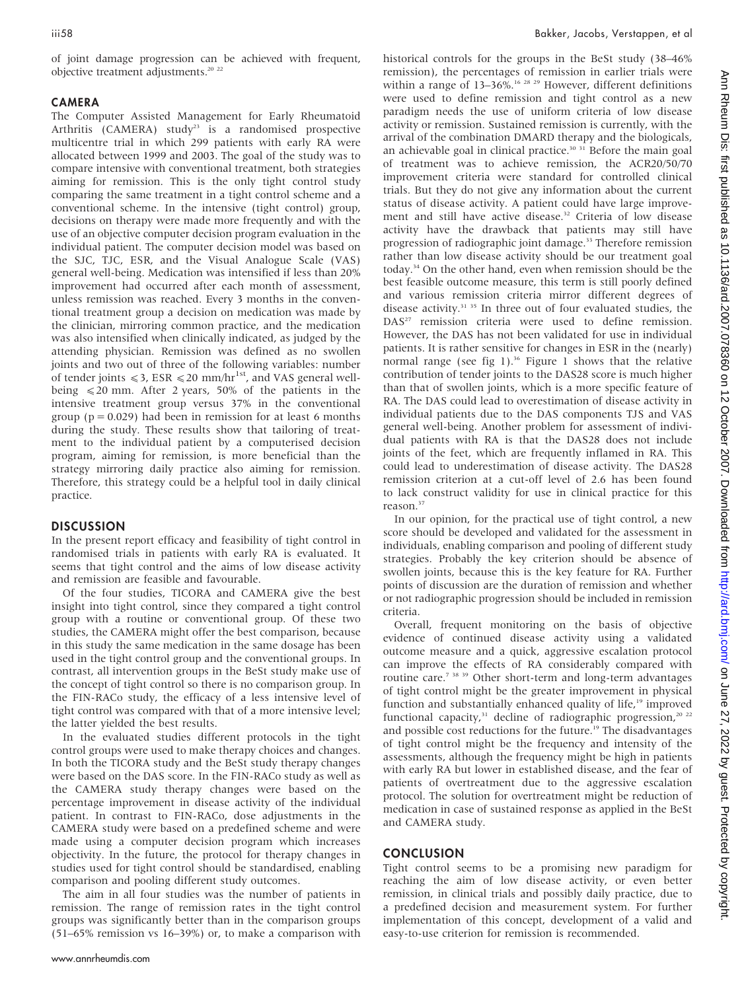of joint damage progression can be achieved with frequent, objective treatment adjustments.<sup>20</sup><sup>22</sup>

#### CAMERA

The Computer Assisted Management for Early Rheumatoid Arthritis (CAMERA) study<sup>23</sup> is a randomised prospective multicentre trial in which 299 patients with early RA were allocated between 1999 and 2003. The goal of the study was to compare intensive with conventional treatment, both strategies aiming for remission. This is the only tight control study comparing the same treatment in a tight control scheme and a conventional scheme. In the intensive (tight control) group, decisions on therapy were made more frequently and with the use of an objective computer decision program evaluation in the individual patient. The computer decision model was based on the SJC, TJC, ESR, and the Visual Analogue Scale (VAS) general well-being. Medication was intensified if less than 20% improvement had occurred after each month of assessment, unless remission was reached. Every 3 months in the conventional treatment group a decision on medication was made by the clinician, mirroring common practice, and the medication was also intensified when clinically indicated, as judged by the attending physician. Remission was defined as no swollen joints and two out of three of the following variables: number of tender joints  $\leq 3$ , ESR  $\leq 20$  mm/hr<sup>1st</sup>, and VAS general wellbeing  $\leq 20$  mm. After 2 years, 50% of the patients in the intensive treatment group versus 37% in the conventional group ( $p = 0.029$ ) had been in remission for at least 6 months during the study. These results show that tailoring of treatment to the individual patient by a computerised decision program, aiming for remission, is more beneficial than the strategy mirroring daily practice also aiming for remission. Therefore, this strategy could be a helpful tool in daily clinical practice.

#### **DISCUSSION**

In the present report efficacy and feasibility of tight control in randomised trials in patients with early RA is evaluated. It seems that tight control and the aims of low disease activity and remission are feasible and favourable.

Of the four studies, TICORA and CAMERA give the best insight into tight control, since they compared a tight control group with a routine or conventional group. Of these two studies, the CAMERA might offer the best comparison, because in this study the same medication in the same dosage has been used in the tight control group and the conventional groups. In contrast, all intervention groups in the BeSt study make use of the concept of tight control so there is no comparison group. In the FIN-RACo study, the efficacy of a less intensive level of tight control was compared with that of a more intensive level; the latter yielded the best results.

In the evaluated studies different protocols in the tight control groups were used to make therapy choices and changes. In both the TICORA study and the BeSt study therapy changes were based on the DAS score. In the FIN-RACo study as well as the CAMERA study therapy changes were based on the percentage improvement in disease activity of the individual patient. In contrast to FIN-RACo, dose adjustments in the CAMERA study were based on a predefined scheme and were made using a computer decision program which increases objectivity. In the future, the protocol for therapy changes in studies used for tight control should be standardised, enabling comparison and pooling different study outcomes.

The aim in all four studies was the number of patients in remission. The range of remission rates in the tight control groups was significantly better than in the comparison groups (51–65% remission vs 16–39%) or, to make a comparison with

historical controls for the groups in the BeSt study (38–46% remission), the percentages of remission in earlier trials were within a range of 13–36%.<sup>16 28 29</sup> However, different definitions were used to define remission and tight control as a new paradigm needs the use of uniform criteria of low disease activity or remission. Sustained remission is currently, with the arrival of the combination DMARD therapy and the biologicals, an achievable goal in clinical practice.<sup>30 31</sup> Before the main goal of treatment was to achieve remission, the ACR20/50/70 improvement criteria were standard for controlled clinical trials. But they do not give any information about the current status of disease activity. A patient could have large improvement and still have active disease.<sup>32</sup> Criteria of low disease activity have the drawback that patients may still have progression of radiographic joint damage.<sup>33</sup> Therefore remission rather than low disease activity should be our treatment goal today.34 On the other hand, even when remission should be the best feasible outcome measure, this term is still poorly defined and various remission criteria mirror different degrees of disease activity.<sup>31</sup> <sup>35</sup> In three out of four evaluated studies, the DAS<sup>27</sup> remission criteria were used to define remission. However, the DAS has not been validated for use in individual patients. It is rather sensitive for changes in ESR in the (nearly) normal range (see fig 1).<sup>36</sup> Figure 1 shows that the relative contribution of tender joints to the DAS28 score is much higher than that of swollen joints, which is a more specific feature of RA. The DAS could lead to overestimation of disease activity in individual patients due to the DAS components TJS and VAS general well-being. Another problem for assessment of individual patients with RA is that the DAS28 does not include joints of the feet, which are frequently inflamed in RA. This could lead to underestimation of disease activity. The DAS28 remission criterion at a cut-off level of 2.6 has been found to lack construct validity for use in clinical practice for this reason.<sup>37</sup>

In our opinion, for the practical use of tight control, a new score should be developed and validated for the assessment in individuals, enabling comparison and pooling of different study strategies. Probably the key criterion should be absence of swollen joints, because this is the key feature for RA. Further points of discussion are the duration of remission and whether or not radiographic progression should be included in remission criteria.

Overall, frequent monitoring on the basis of objective evidence of continued disease activity using a validated outcome measure and a quick, aggressive escalation protocol can improve the effects of RA considerably compared with routine care.7 38 39 Other short-term and long-term advantages of tight control might be the greater improvement in physical function and substantially enhanced quality of life,<sup>19</sup> improved functional capacity, $31$  decline of radiographic progression, $20$   $22$ and possible cost reductions for the future.<sup>19</sup> The disadvantages of tight control might be the frequency and intensity of the assessments, although the frequency might be high in patients with early RA but lower in established disease, and the fear of patients of overtreatment due to the aggressive escalation protocol. The solution for overtreatment might be reduction of medication in case of sustained response as applied in the BeSt and CAMERA study.

#### **CONCLUSION**

Tight control seems to be a promising new paradigm for reaching the aim of low disease activity, or even better remission, in clinical trials and possibly daily practice, due to a predefined decision and measurement system. For further implementation of this concept, development of a valid and easy-to-use criterion for remission is recommended.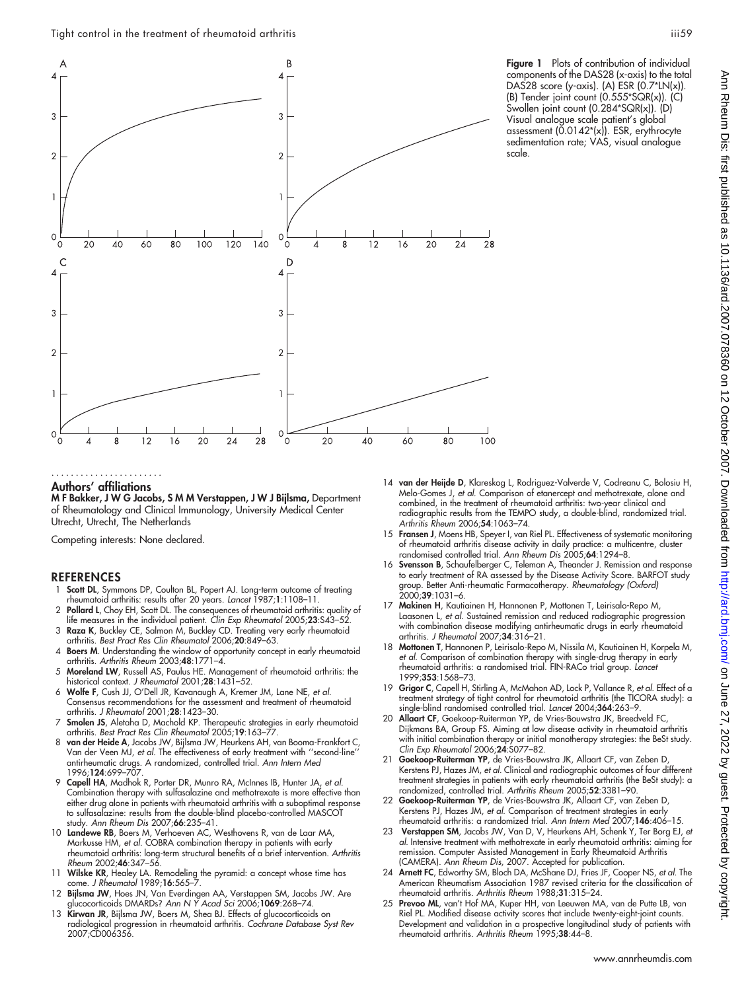

Figure 1 Plots of contribution of individual components of the DAS28 (x-axis) to the total DAS28 score (y-axis). (A) ESR  $(0.7*LN(x))$ . (B) Tender joint count (0.555\*SQR(x)). (C) Swollen joint count (0.284\*SQR(x)). (D) Visual analogue scale patient's global assessment (0.0142\*(x)). ESR, erythrocyte sedimentation rate; VAS, visual analogue scale.

#### Authors' affiliations .......................

M F Bakker, J W G Jacobs, S M M Verstappen, J W J Bijlsma, Department of Rheumatology and Clinical Immunology, University Medical Center Utrecht, Utrecht, The Netherlands

Competing interests: None declared.

#### REFERENCES

- Scott DL, Symmons DP, Coulton BL, Popert AJ. Long-term outcome of treating rheumatoid arthritis: results after 20 years. Lancet 1987;1:1108–11.
- 2 Pollard L, Choy EH, Scott DL. The consequences of rheumatoid arthritis: quality of life measures in the individual patient. Clin Exp Rheumatol 2005;23:S43-5.
- 3 Raza K, Buckley CE, Salmon M, Buckley CD. Treating very early rheumatoid arthritis. Best Pract Res Clin Rheumatol 2006;20:849–63.
- 4 Boers M. Understanding the window of opportunity concept in early rheumatoid arthritis. Arthritis Rheum 2003;48:1771–4.
- 5 Moreland LW, Russell AS, Paulus HE. Management of rheumatoid arthritis: the historical context. J Rheumatol 2001;28:1431-52.
- 6 Wolfe F, Cush JJ, O'Dell JR, Kavanaugh A, Kremer JM, Lane NE, et al. Consensus recommendations for the assessment and treatment of rheumatoid arthritis. J Rheumatol 2001;28:1423–30.
- 7 Smolen JS, Aletaha D, Machold KP. Therapeutic strategies in early rheumatoid arthritis. Best Pract Res Clin Rheumatol 2005;19:163–77.
- 8 van der Heide A, Jacobs JW, Bijlsma JW, Heurkens AH, van Booma-Frankfort C, Van der Veen MJ, et al. The effectiveness of early treatment with ''second-line'' antirheumatic drugs. A randomized, controlled trial. Ann Intern Med 1996:**124**:699–707
- 9 Capell HA, Madhok R, Porter DR, Munro RA, McInnes IB, Hunter JA, et al. Combination therapy with sulfasalazine and methotrexate is more effective than either drug alone in patients with rheumatoid arthritis with a suboptimal response to sulfasalazine: results from the double-blind placebo-controlled MASCOT study. Ann Rheum Dis 2007;66:235–41.
- 10 Landewe RB, Boers M, Verhoeven AC, Westhovens R, van de Laar MA, Markusse HM, et al. COBRA combination therapy in patients with early rheumatoid arthritis: long-term structural benefits of a brief intervention. Arthritis Rheum 2002;46:347–56.
- 11 Wilske KR, Healey LA. Remodeling the pyramid: a concept whose time has come. J Rheumatol 1989;16:565–7.
- 12 Bijlsma JW, Hoes JN, Van Everdingen AA, Verstappen SM, Jacobs JW. Are glucocorticoids DMARDs? Ann N Y Acad Sci 2006;1069:268–74.
- 13 Kirwan JR, Bijlsma JW, Boers M, Shea BJ. Effects of glucocorticoids on radiological progression in rheumatoid arthritis. Cochrane Database Syst Rev 2007;CD006356.
- 14 van der Heijde D, Klareskog L, Rodriguez-Valverde V, Codreanu C, Bolosiu H, Melo-Gomes J, et al. Comparison of etanercept and methotrexate, alone and combined, in the treatment of rheumatoid arthritis: two-year clinical and radiographic results from the TEMPO study, a double-blind, randomized trial. Arthritis Rheum 2006;54:1063–74.
- 15 Fransen J, Moens HB, Speyer I, van Riel PL. Effectiveness of systematic monitoring of rheumatoid arthritis disease activity in daily practice: a multicentre, cluster randomised controlled trial. Ann Rheum Dis 2005;64:1294–8.
- 16 Svensson B, Schaufelberger C, Teleman A, Theander J. Remission and response to early treatment of RA assessed by the Disease Activity Score. BARFOT study group. Better Anti-rheumatic Farmacotherapy. Rheumatology (Oxford) 2000;39:1031–6.
- 17 Makinen H, Kautiainen H, Hannonen P, Mottonen T, Leirisalo-Repo M, Laasonen L, et al. Sustained remission and reduced radiographic progression with combination disease modifying antirheumatic drugs in early rheumatoid arthritis. J Rheumatol 2007;34:316–21.
- 18 Mottonen T, Hannonen P, Leirisalo-Repo M, Nissila M, Kautiainen H, Korpela M, et al. Comparison of combination therapy with single-drug therapy in early rheumatoid arthritis: a randomised trial. FIN-RACo trial group. Lancet 1999;353:1568–73.
- 19 **Grigor C**, Capell H, Stirling A, McMahon AD, Lock P, Vallance R, et al. Effect of a treatment strategy of tight control for rheumatoid arthritis (the TICORA study): a single-blind randomised controlled trial. Lancet 2004;364:263–9.
- Allaart CF, Goekoop-Ruiterman YP, de Vries-Bouwstra JK, Breedveld FC Dijkmans BA, Group FS. Aiming at low disease activity in rheumatoid arthritis with initial combination therapy or initial monotherapy strategies: the BeSt study. Clin Exp Rheumatol 2006;24:S077–82.
- Goekoop-Ruiterman YP, de Vries-Bouwstra JK, Allaart CF, van Zeben D, Kerstens PJ, Hazes JM, et al. Clinical and radiographic outcomes of four different treatment strategies in patients with early rheumatoid arthritis (the BeSt study): a randomized, controlled trial. Arthritis Rheum 2005;52:3381–90.
- 22 Goekoop-Ruiterman YP, de Vries-Bouwstra JK, Allaart CF, van Zeben D, Kerstens PJ, Hazes JM, et al. Comparison of treatment strategies in early rheumatoid arthritis: a randomized trial. Ann Intern Med 2007;146:406–15.
- 23 Verstappen SM, Jacobs JW, Van D, V, Heurkens AH, Schenk Y, Ter Borg EJ, et al. Intensive treatment with methotrexate in early rheumatoid arthritis: aiming for remission. Computer Assisted Management in Early Rheumatoid Arthritis (CAMERA). Ann Rheum Dis, 2007. Accepted for publication.
- 24 Arnett FC, Edworthy SM, Bloch DA, McShane DJ, Fries JF, Cooper NS, et al. The American Rheumatism Association 1987 revised criteria for the classification of rheumatoid arthritis. Arthritis Rheum 1988;31:315–24.
- 25 Prevoo ML, van't Hof MA, Kuper HH, van Leeuwen MA, van de Putte LB, van Riel PL. Modified disease activity scores that include twenty-eight-joint counts. Development and validation in a prospective longitudinal study of patients with rheumatoid arthritis. Arthritis Rheum 1995;38:44–8.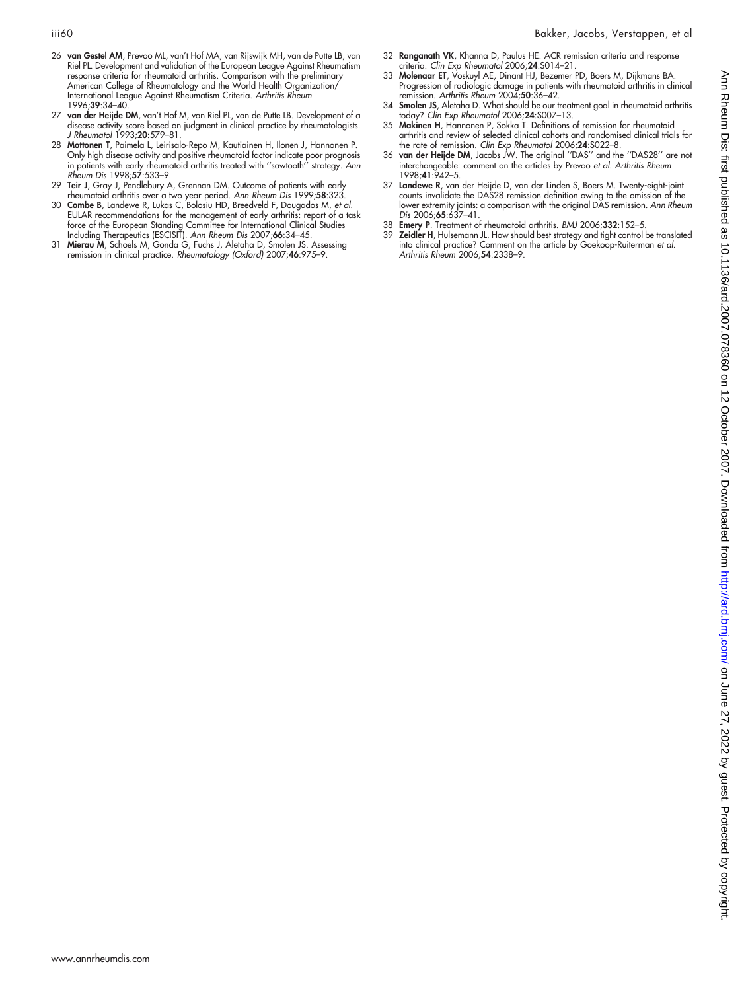- 32 Ranganath VK, Khanna D, Paulus HE. ACR remission criteria and response
- 26 van Gestel AM, Prevoo ML, van't Hof MA, van Rijswijk MH, van de Putte LB, van Riel PL. Development and validation of the European League Against Rheumatism response criteria for rheumatoid arthritis. Comparison with the preliminary American College of Rheumatology and the World Health Organization/ International League Against Rheumatism Criteria. Arthritis Rheum 1996;39:34–40.
- 27 van der Heijde DM, van't Hof M, van Riel PL, van de Putte LB. Development of a disease activity score based on judgment in clinical practice by rheumatologists. J Rheumatol 1993;20:579–81.
- 28 Mottonen T, Paimela L, Leirisalo-Repo M, Kautiainen H, Ilonen J, Hannonen P. Only high disease activity and positive rheumatoid factor indicate poor prognosis in patients with early rheumatoid arthritis treated with ''sawtooth'' strategy. Ann Rheum Dis 1998;57:533–9.
- 29 Teir J, Gray J, Pendlebury A, Grennan DM. Outcome of patients with early
- rheumatoid arthritis over a two year period. Ann Rheum Dis 1999;58:323. 30 Combe B, Landewe R, Lukas C, Bolosiu HD, Breedveld F, Dougados M, et al. EULAR recommendations for the management of early arthritis: report of a task force of the European Standing Committee for International Clinical Studies
- Including Therapeutics (ESCISIT). Ann Rheum Dis 2007;66:34–45. 31 Mierau M, Schoels M, Gonda G, Fuchs J, Aletaha D, Smolen JS. Assessing remission in clinical practice. Rheumatology (Oxford) 2007;46:975–9.
- criteria. *Clin Exp Rheumatol* 2006;**24**:S014–21.<br>33 M**olenaar ET**, Voskuyl AE, Dinant HJ, Bezemer PD, Boers M, Dijkmans BA. Progression of radiologic damage in patients with rheumatoid arthritis in clinical
- remission. Arthritis Rheum 2004;50:36-42. 34 Smolen JS, Aletaha D. What should be our treatment goal in rheumatoid arthritis today? Clin Exp Rheumatol 2006;24:S007-13.
- 35 Makinen H, Hannonen P, Sokka T. Definitions of remission for rheumatoid arthritis and review of selected clinical cohorts and randomised clinical trials for the rate of remission. Clin Exp Rheumatol 2006;24:S022–8.
- 36 van der Heijde DM, Jacobs JW. The original ''DAS'' and the ''DAS28'' are not interchangeable: comment on the articles by Prevoo et al. Arthritis Rheum 1998;41:942–5.
- 37 Landewe R, van der Heijde D, van der Linden S, Boers M. Twenty-eight-joint counts invalidate the DAS28 remission definition owing to the omission of the lower extremity joints: a comparison with the original DAS remission. Ann Rheum<br>*Dis 2*006;**65**:637–41.
- 38 **Emery P**. Treatment of rheumatoid arthritis. BMJ 2006;332:152-5.<br>39 **Zeidler H.** Hulsemann JL. How should best strateay and tight control
- 39 Zeidler H, Hulsemann JL. How should best strategy and tight control be translated into clinical practice? Comment on the article by Goekoop-Ruiterman et al. Arthritis Rheum 2006;54:2338–9.